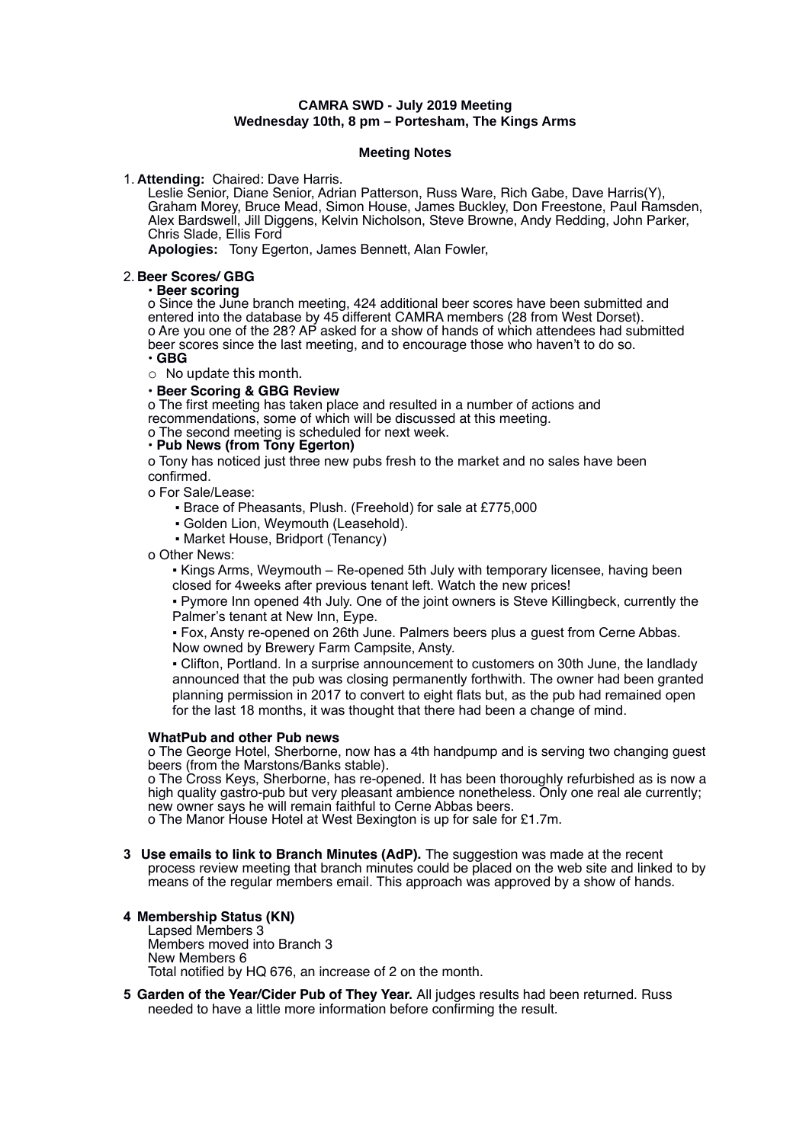# **CAMRA SWD - July 2019 Meeting Wednesday 10th, 8 pm – Portesham, The Kings Arms**

#### **Meeting Notes**

## 1. **Attending:** Chaired: Dave Harris.

Leslie Senior, Diane Senior, Adrian Patterson, Russ Ware, Rich Gabe, Dave Harris(Y), Graham Morey, Bruce Mead, Simon House, James Buckley, Don Freestone, Paul Ramsden, Alex Bardswell, Jill Diggens, Kelvin Nicholson, Steve Browne, Andy Redding, John Parker, Chris Slade, Ellis Ford

**Apologies:** Tony Egerton, James Bennett, Alan Fowler,

## 2. **Beer Scores/ GBG**

## • **Beer scoring**

o Since the June branch meeting, 424 additional beer scores have been submitted and entered into the database by 45 different CAMRA members (28 from West Dorset). o Are you one of the 28? AP asked for a show of hands of which attendees had submitted beer scores since the last meeting, and to encourage those who haven't to do so. • **GBG**

o No update this month.

# • **Beer Scoring & GBG Review**

o The first meeting has taken place and resulted in a number of actions and recommendations, some of which will be discussed at this meeting.

o The second meeting is scheduled for next week.

### • **Pub News (from Tony Egerton)**

o Tony has noticed just three new pubs fresh to the market and no sales have been confirmed.

o For Sale/Lease:

▪ Brace of Pheasants, Plush. (Freehold) for sale at £775,000

- Golden Lion, Weymouth (Leasehold).
- Market House, Bridport (Tenancy)

o Other News:

▪ Kings Arms, Weymouth – Re-opened 5th July with temporary licensee, having been closed for 4weeks after previous tenant left. Watch the new prices!

▪ Pymore Inn opened 4th July. One of the joint owners is Steve Killingbeck, currently the Palmer's tenant at New Inn, Eype.

▪ Fox, Ansty re-opened on 26th June. Palmers beers plus a guest from Cerne Abbas. Now owned by Brewery Farm Campsite, Ansty.

▪ Clifton, Portland. In a surprise announcement to customers on 30th June, the landlady announced that the pub was closing permanently forthwith. The owner had been granted planning permission in 2017 to convert to eight flats but, as the pub had remained open for the last 18 months, it was thought that there had been a change of mind.

#### **WhatPub and other Pub news**

o The George Hotel, Sherborne, now has a 4th handpump and is serving two changing guest beers (from the Marstons/Banks stable).

o The Cross Keys, Sherborne, has re-opened. It has been thoroughly refurbished as is now a high quality gastro-pub but very pleasant ambience nonetheless. Only one real ale currently; new owner says he will remain faithful to Cerne Abbas beers.

o The Manor House Hotel at West Bexington is up for sale for £1.7m.

**3 Use emails to link to Branch Minutes (AdP).** The suggestion was made at the recent process review meeting that branch minutes could be placed on the web site and linked to by means of the regular members email. This approach was approved by a show of hands.

# **4 Membership Status (KN)**

Lapsed Members 3 Members moved into Branch 3 New Members 6 Total notified by HQ 676, an increase of 2 on the month.

**5 Garden of the Year/Cider Pub of They Year.** All judges results had been returned. Russ needed to have a little more information before confirming the result.